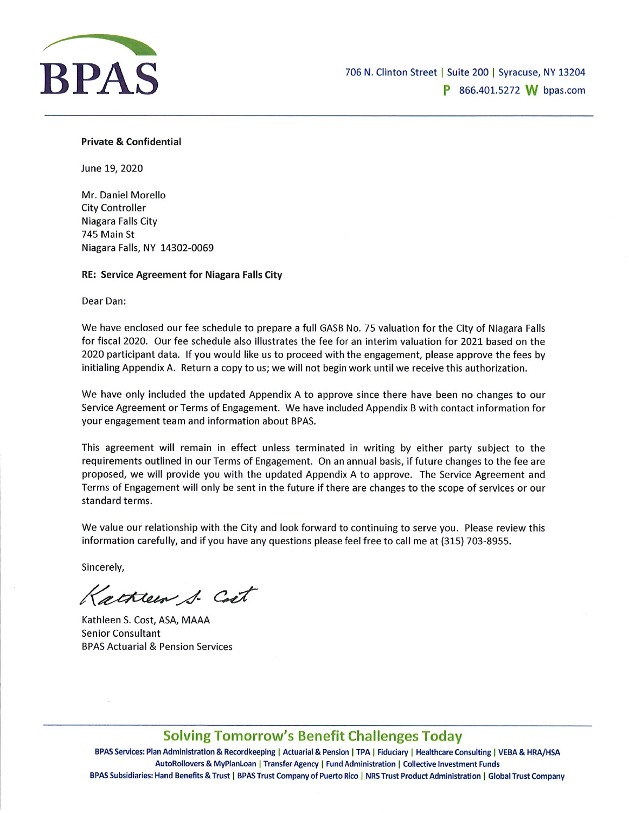

### Private & Confidential

June 19, 2020

Mr. Daniel Morello City Controller Niagara Falls City 745 Main St Niagara Falls, NY 14302-0069

RE: Service Agreement for Niagara Falls City

Dear Dan:

We have enclosed our fee schedule to prepare a full GASB No. 75 valuation for the City of Niagara Falls for fiscal 2020. Our fee schedule also illustrates the fee for an interim valuation for 2021 based on the 2020 participant data. If you would like us to proceed with the engagement, please approve the fees by initialing Appendix A. Return a copy to us; we will not begin work until we receive this authorization.

We have only included the updated Appendix A to approve since there have been no changes to our Service Agreement or Terms of Engagement. We have included Appendix B with contact information for your engagement team and information about BPAS.

This agreement will remain in effect unless terminated in writing by either party subject to the requirements outlined in our Terms of Engagement. On an annual basis, if future changes to the fee are proposed, we will provide you with the updated Appendix A to approve. The Service Agreement and Terms of Engagement will only be sent in the future if there are changes to the scope of services or our standard terms.

We value our relationship with the City and look forward to continuing to serve you. Please review this information carefully, and if you have any questions please feel free to call me at (315) 703-8955.

Sincerely,

Katheen 1- Cet

Kathleen S. Cost, ASA, MAAA Senior Consultant BPAS Actuarial & Pension Services

# Solving Tomorrow's Benefit Challenges Today

BPAS Services: Plan Administration & Recordkeeping | Actuarial & Pension | TPA | Fiduciary | Healthcare Consulting | VEBA & HRA/HSA AutoRollovers & MyPlanLoan | Transfer Agency | Fund Administration | Collective Investment Funds BPAS Subsidiaries: Hand Benefits & Trust | BPAS Trust Company of Puerto Rico | NRS Trust Product Administration | Global Trust Company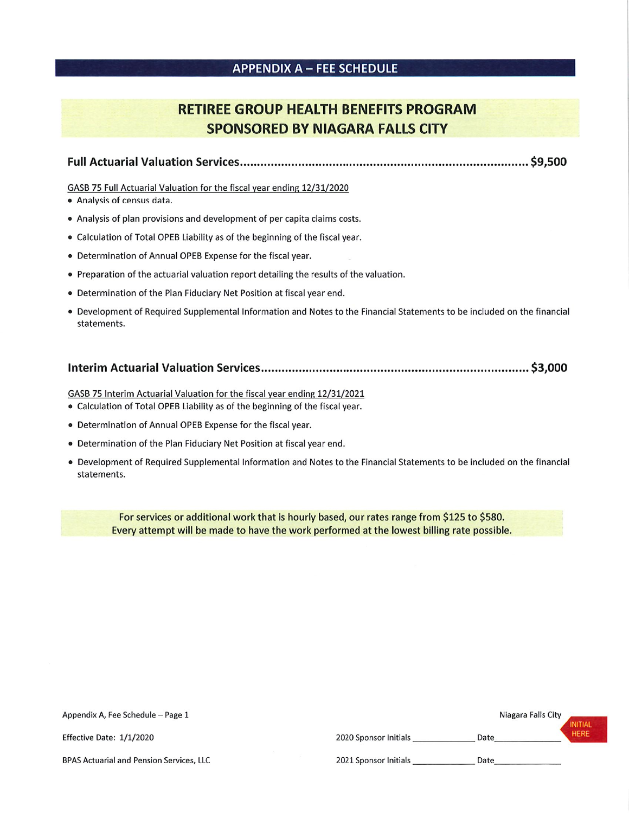## APPENDIX A - FEE SCHEDULE

# RETIREE GROUP HEALTH BENEFITS PROGRAM SPONSORED BY NIAGARA FALLS CITY

Full Actuarial Valuation Services.................................................................................... \$9,500

#### GASB 75 Full Actuarial Valuation for the fiscal year ending 12/31/2020

- Analysis of census data.
- Analysis of plan provisions and development of per capita claims costs.
- Calculation of Total OPEB Liability as of the beginning of the fiscal year.
- Determination of Annual OPEB Expense for the fiscal year.
- Preparation of the actuarial valuation report detailing the results of the valuation.
- Determination of the Plan Fiduciary Net Position at fiscal year end.
- Development of Required Supplemental Information and Notes to the Financial Statements to be included on the financial statements.

### Interim Actuarial Valuation Services.............................................................................. \$3,000

GASB 75 Interim Actuarial Valuation for the fiscal year ending 12/31/2021

- Calculation of Total OPEB Liability as of the beginning of the fiscal year.
- Determination of Annual OPEB Expense for the fiscal year.
- Determination of the Plan Fiduciary Net Position at fiscal year end.
- Development of Required Supplemental Information and Notes to the Financial Statements to be included on the financial statements.

For services or additional work that is hourly based, our rates range from \$125 to \$580. Every attempt will be made to have the work performed at the lowest billing rate possible.

| Appendix A, Fee Schedule - Page 1               |                       | Niagara Falls City | <b>INITIAL</b> |
|-------------------------------------------------|-----------------------|--------------------|----------------|
| Effective Date: 1/1/2020                        | 2020 Sponsor Initials | Date               | <b>HERE</b>    |
| <b>BPAS Actuarial and Pension Services, LLC</b> | 2021 Sponsor Initials | Date               |                |
|                                                 |                       |                    |                |